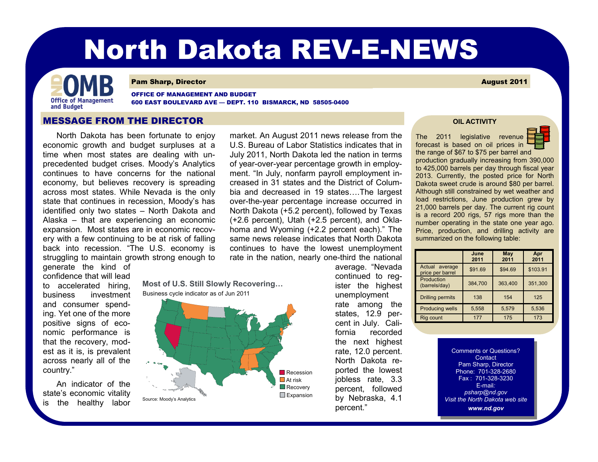# North Dakota REV-E-NEWS



#### **Pam Sharp, Director** August 2011

OFFICE OF MANAGEMENT AND BUDGET 600 EAST BOULEVARD AVE — DEPT. 110 BISMARCK, ND 58505-0400

### MESSAGE FROM THE DIRECTOR

North Dakota has been fortunate to enjoy economic growth and budget surpluses at a time when most states are dealing with unprecedented budget crises. Moody's Analytics continues to have concerns for the national economy, but believes recovery is spreading across most states. While Nevada is the only state that continues in recession, Moody's has identified only two states – North Dakota and Alaska – that are experiencing an economic expansion. Most states are in economic recovery with a few continuing to be at risk of falling back into recession. "The U.S. economy is struggling to maintain growth strong enough to

generate the kind of confidence that will lead to accelerated hiring, business investment and consumer spending. Yet one of the more positive signs of economic performance is that the recovery, modest as it is, is prevalent across nearly all of the country."

An indicator of the state's economic vitality is the healthy labor market. An August 2011 news release from the U.S. Bureau of Labor Statistics indicates that in July 2011, North Dakota led the nation in terms of year-over-year percentage growth in employment. "In July, nonfarm payroll employment increased in 31 states and the District of Columbia and decreased in 19 states….The largest over-the-year percentage increase occurred in North Dakota (+5.2 percent), followed by Texas (+2.6 percent), Utah (+2.5 percent), and Oklahoma and Wyoming (+2.2 percent each)." The same news release indicates that North Dakota continues to have the lowest unemployment rate in the nation, nearly one-third the national

**Most of U.S. Still Slowly Recovering…** Business cycle indicator as of Jun 2011



continued to register the highest unemployment rate among the states, 12.9 percent in July. California recorded the next highest rate, 12.0 percent. North Dakota reported the lowest jobless rate, 3.3 percent, followed by Nebraska, 4.1 percent."

average. "Nevada

#### **OIL ACTIVITY**

The 2011 legislative revenue forecast is based on oil prices in the range of \$67 to \$75 per barrel and

production gradually increasing from 390,000 to 425,000 barrels per day through fiscal year 2013. Currently, the posted price for North Dakota sweet crude is around \$80 per barrel. Although still constrained by wet weather and load restrictions, June production grew by 21,000 barrels per day. The current rig count is a record 200 rigs, 57 rigs more than the number operating in the state one year ago. Price, production, and drilling activity are summarized on the following table:

|                                    | June<br>2011 | May<br>2011 | Apr<br>2011 |
|------------------------------------|--------------|-------------|-------------|
| Actual average<br>price per barrel | \$91.69      | \$94.69     | \$103.91    |
| Production<br>(barrels/day)        | 384,700      | 363,400     | 351,300     |
| <b>Drilling permits</b>            | 138          | 154         | 125         |
| <b>Producing wells</b>             | 5,558        | 5,579       | 5,536       |
| Rig count                          | 177          | 175         | 173         |

Comments or Questions? **Contact** Pam Sharp, Director Phone: 701-328-2680 Fax : 701-328-3230 E-mail*: psharp@nd.gov Visit the North Dakota web site www.nd.gov*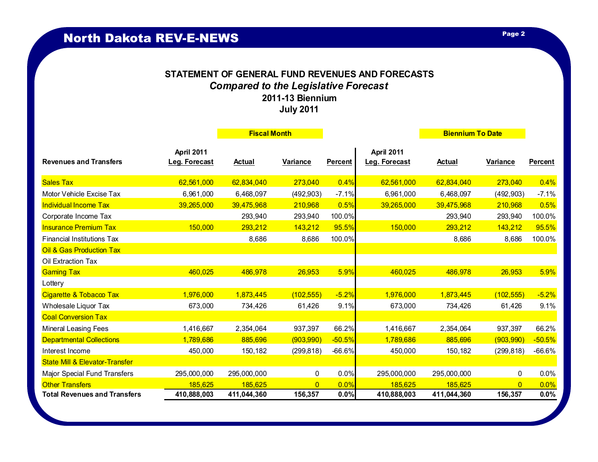# **STATEMENT OF GENERAL FUND REVENUES AND FORECASTS** *Compared to the Legislative Forecast* **2011-13 Biennium**

**July 2011**

|                                           |                                    | <b>Fiscal Month</b> |                 |                |                             | <b>Biennium To Date</b> |                |          |
|-------------------------------------------|------------------------------------|---------------------|-----------------|----------------|-----------------------------|-------------------------|----------------|----------|
| <b>Revenues and Transfers</b>             | <b>April 2011</b><br>Leg. Forecast | Actual              | <b>Variance</b> | <b>Percent</b> | April 2011<br>Leg. Forecast | Actual                  | Variance       | Percent  |
| <b>Sales Tax</b>                          | 62,561,000                         | 62,834,040          | 273,040         | 0.4%           | 62,561,000                  | 62,834,040              | 273,040        | 0.4%     |
| Motor Vehicle Excise Tax                  | 6,961,000                          | 6,468,097           | (492,903)       | $-7.1%$        | 6,961,000                   | 6,468,097               | (492, 903)     | $-7.1%$  |
| <b>Individual Income Tax</b>              | 39,265,000                         | 39,475,968          | 210,968         | 0.5%           | 39,265,000                  | 39,475,968              | 210,968        | 0.5%     |
| Corporate Income Tax                      |                                    | 293,940             | 293,940         | 100.0%         |                             | 293,940                 | 293,940        | 100.0%   |
| <b>Insurance Premium Tax</b>              | 150,000                            | 293,212             | 143,212         | 95.5%          | 150,000                     | 293,212                 | 143,212        | 95.5%    |
| <b>Financial Institutions Tax</b>         |                                    | 8,686               | 8,686           | 100.0%         |                             | 8,686                   | 8,686          | 100.0%   |
| <b>Oil &amp; Gas Production Tax</b>       |                                    |                     |                 |                |                             |                         |                |          |
| Oil Extraction Tax                        |                                    |                     |                 |                |                             |                         |                |          |
| <b>Gaming Tax</b>                         | 460,025                            | 486,978             | 26,953          | 5.9%           | 460,025                     | 486,978                 | 26,953         | 5.9%     |
| Lottery                                   |                                    |                     |                 |                |                             |                         |                |          |
| Cigarette & Tobacco Tax                   | 1,976,000                          | 1,873,445           | (102, 555)      | $-5.2%$        | 1,976,000                   | 1,873,445               | (102, 555)     | $-5.2%$  |
| Wholesale Liquor Tax                      | 673,000                            | 734,426             | 61,426          | 9.1%           | 673,000                     | 734,426                 | 61,426         | 9.1%     |
| <b>Coal Conversion Tax</b>                |                                    |                     |                 |                |                             |                         |                |          |
| <b>Mineral Leasing Fees</b>               | 1,416,667                          | 2,354,064           | 937,397         | 66.2%          | 1,416,667                   | 2,354,064               | 937,397        | 66.2%    |
| <b>Departmental Collections</b>           | 1,789,686                          | 885,696             | (903,990)       | $-50.5%$       | 1,789,686                   | 885,696                 | (903, 990)     | $-50.5%$ |
| Interest Income                           | 450,000                            | 150,182             | (299, 818)      | $-66.6%$       | 450,000                     | 150,182                 | (299, 818)     | $-66.6%$ |
| <b>State Mill &amp; Elevator-Transfer</b> |                                    |                     |                 |                |                             |                         |                |          |
| Major Special Fund Transfers              | 295,000,000                        | 295,000,000         | 0               | 0.0%           | 295,000,000                 | 295,000,000             | 0              | 0.0%     |
| <b>Other Transfers</b>                    | 185,625                            | 185,625             | $\Omega$        | 0.0%           | 185,625                     | 185,625                 | $\overline{0}$ | 0.0%     |
| <b>Total Revenues and Transfers</b>       | 410,888,003                        | 411,044,360         | 156,357         | 0.0%           | 410,888,003                 | 411,044,360             | 156,357        | 0.0%     |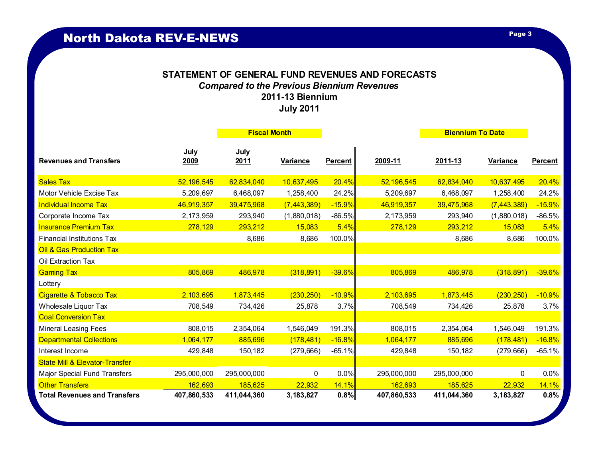## **STATEMENT OF GENERAL FUND REVENUES AND FORECASTS** *Compared to the Previous Biennium Revenues*

**2011-13 Biennium July 2011**

|                                           |              | <b>Fiscal Month</b> |                 |                | <b>Biennium To Date</b> |             |                 |                |
|-------------------------------------------|--------------|---------------------|-----------------|----------------|-------------------------|-------------|-----------------|----------------|
| <b>Revenues and Transfers</b>             | July<br>2009 | July<br><u>2011</u> | <b>Variance</b> | <b>Percent</b> | 2009-11                 | 2011-13     | <b>Variance</b> | <b>Percent</b> |
| <b>Sales Tax</b>                          | 52,196,545   | 62,834,040          | 10,637,495      | 20.4%          | 52,196,545              | 62,834,040  | 10,637,495      | 20.4%          |
| Motor Vehicle Excise Tax                  | 5,209,697    | 6,468,097           | 1,258,400       | 24.2%          | 5,209,697               | 6,468,097   | 1,258,400       | 24.2%          |
| <b>Individual Income Tax</b>              | 46,919,357   | 39,475,968          | (7,443,389)     | $-15.9%$       | 46,919,357              | 39,475,968  | (7, 443, 389)   | $-15.9%$       |
| Corporate Income Tax                      | 2,173,959    | 293,940             | (1,880,018)     | $-86.5%$       | 2,173,959               | 293,940     | (1,880,018)     | $-86.5%$       |
| <b>Insurance Premium Tax</b>              | 278,129      | 293,212             | 15,083          | 5.4%           | 278,129                 | 293,212     | 15,083          | 5.4%           |
| <b>Financial Institutions Tax</b>         |              | 8,686               | 8,686           | 100.0%         |                         | 8,686       | 8,686           | 100.0%         |
| Oil & Gas Production Tax                  |              |                     |                 |                |                         |             |                 |                |
| Oil Extraction Tax                        |              |                     |                 |                |                         |             |                 |                |
| <b>Gaming Tax</b>                         | 805,869      | 486,978             | (318, 891)      | $-39.6%$       | 805,869                 | 486,978     | (318, 891)      | $-39.6%$       |
| Lottery                                   |              |                     |                 |                |                         |             |                 |                |
| Cigarette & Tobacco Tax                   | 2,103,695    | 1,873,445           | (230, 250)      | $-10.9%$       | 2,103,695               | 1,873,445   | (230, 250)      | $-10.9%$       |
| Wholesale Liquor Tax                      | 708,549      | 734,426             | 25,878          | 3.7%           | 708,549                 | 734,426     | 25,878          | 3.7%           |
| <b>Coal Conversion Tax</b>                |              |                     |                 |                |                         |             |                 |                |
| <b>Mineral Leasing Fees</b>               | 808,015      | 2,354,064           | 1,546,049       | 191.3%         | 808,015                 | 2,354,064   | 1,546,049       | 191.3%         |
| <b>Departmental Collections</b>           | 1,064,177    | 885,696             | (178, 481)      | $-16.8%$       | 1,064,177               | 885,696     | (178, 481)      | $-16.8%$       |
| Interest Income                           | 429,848      | 150,182             | (279, 666)      | $-65.1%$       | 429,848                 | 150,182     | (279, 666)      | $-65.1%$       |
| <b>State Mill &amp; Elevator-Transfer</b> |              |                     |                 |                |                         |             |                 |                |
| Major Special Fund Transfers              | 295,000,000  | 295,000,000         | 0               | 0.0%           | 295,000,000             | 295,000,000 | 0               | 0.0%           |
| <b>Other Transfers</b>                    | 162,693      | 185,625             | 22,932          | 14.1%          | 162,693                 | 185,625     | 22,932          | <b>14.1%</b>   |
| <b>Total Revenues and Transfers</b>       | 407,860,533  | 411,044,360         | 3, 183, 827     | 0.8%           | 407,860,533             | 411,044,360 | 3,183,827       | 0.8%           |